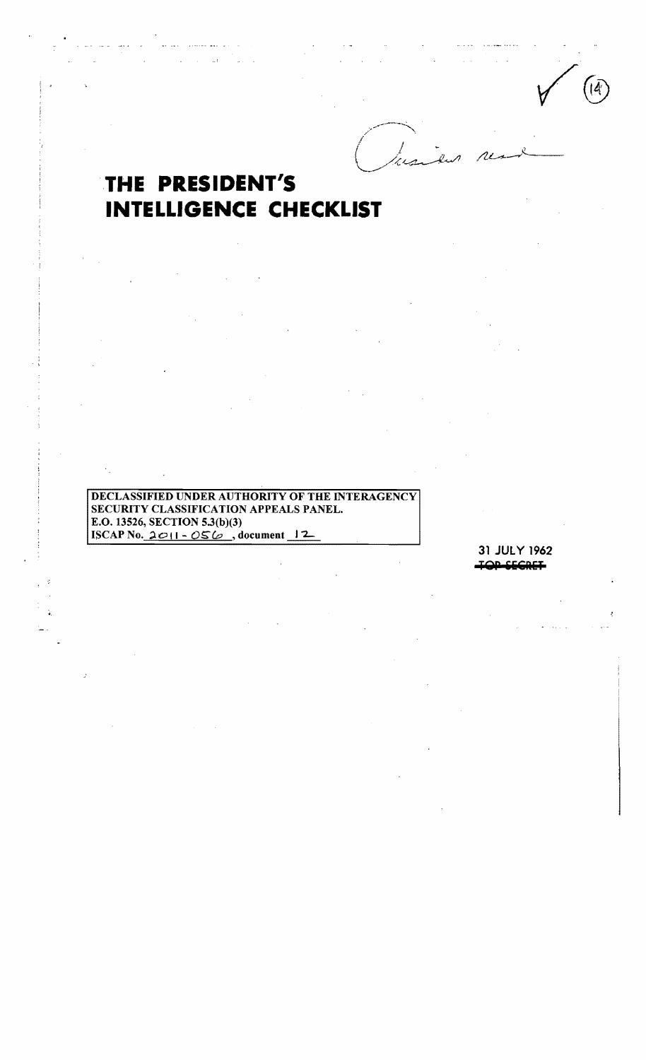$\overline{a}$ 

 $\widehat{A}$ 

# THE PRESIDENT'S **INTELLIGENCE CHECKLIST**

 $\frac{1}{2}$ 

DECLASSIFIED UNDER AUTHORITY OF THE INTERAGENCY SECURITY CLASSIFICATION APPEALS PANEL. E.O. 13526, SECTION 5.3(b)(3) ISCAP No.  $2011 - 056$ , document 12

> 31 JULY 1962 **IQD SECRET**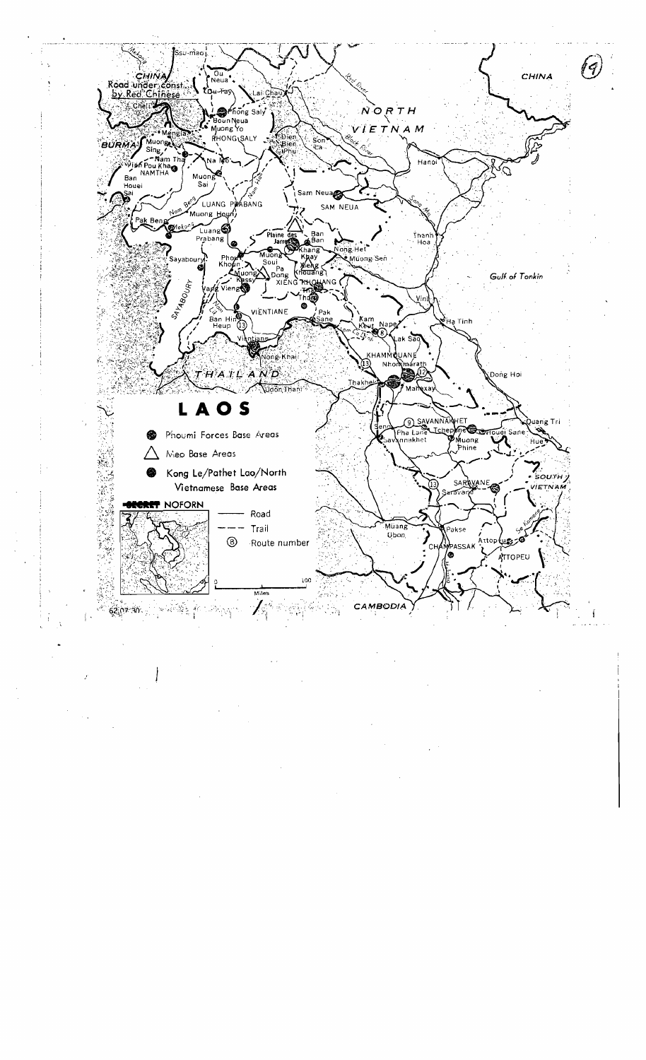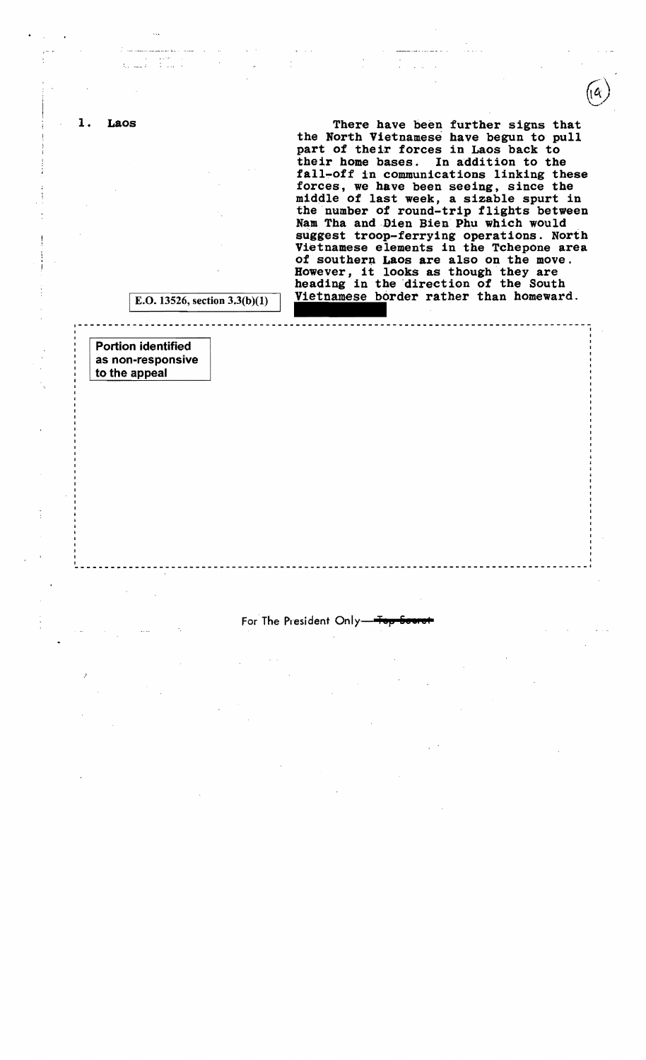There have been further signs that the North Vietnamese have begun to pull part of their forces in Laos back to their home bases. In addition to the fall-off in communications linking these forces, we have been seeing, since the middle of last week, a sizable spurt in the number of round-trip flights between Nam Tha and Dien Bien Phu which would suggest troop-ferrying operations. North Vietnamese elements in the Tchepone area of southern Laos are also on the move. However, it looks as though they are heading in the direction of the South Vietnamese border rather than homeward.

E.O. 13526, section  $3.3(b)(1)$ 

1-------------------------------------------------------------- ,

Portion identified as non-responsive to the appeal

1. Laos

#### For The President Only-

, the contract of the contract of the contract of the contract of the contract of the contract of the contract of the contract of the contract of the contract of the contract of the contract of the contract of the contrac -------~-----------------------------------------------------------------------------,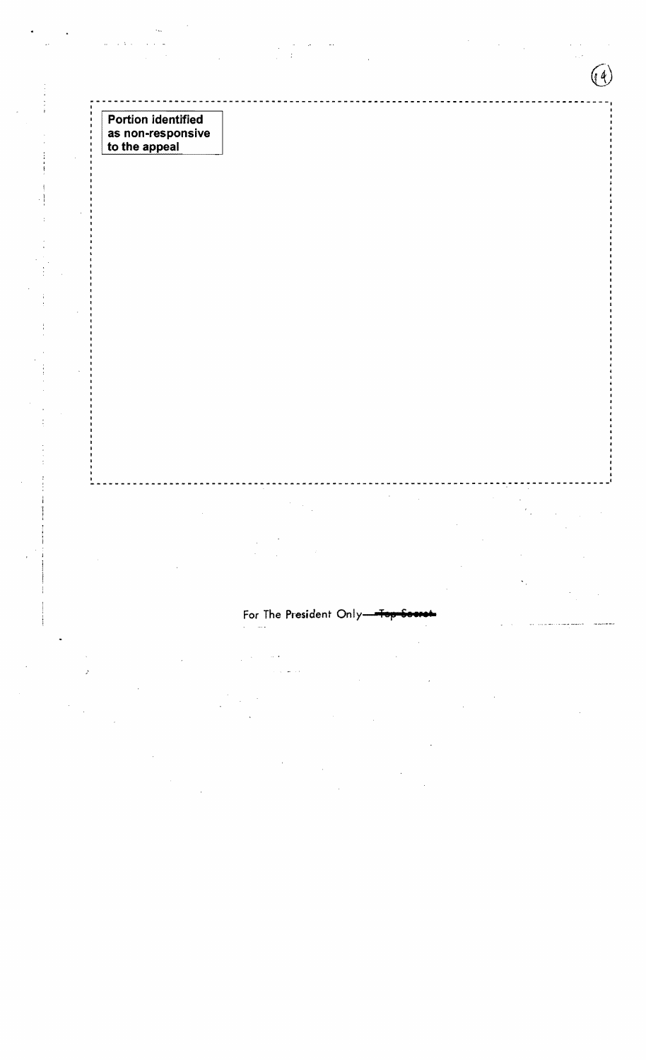| <b>Portion identified</b> |  |
|---------------------------|--|
| as non-responsive         |  |
| to the appeal             |  |

 $\bar{z}$ 

 $\ddot{\cdot}$ 

 $-1 - 1$ 

# For The President Only-

 $\frac{1}{2}$ 

---------1

 $\lambda$ 

 $\sim$   $\sim$  $\bar{\psi}$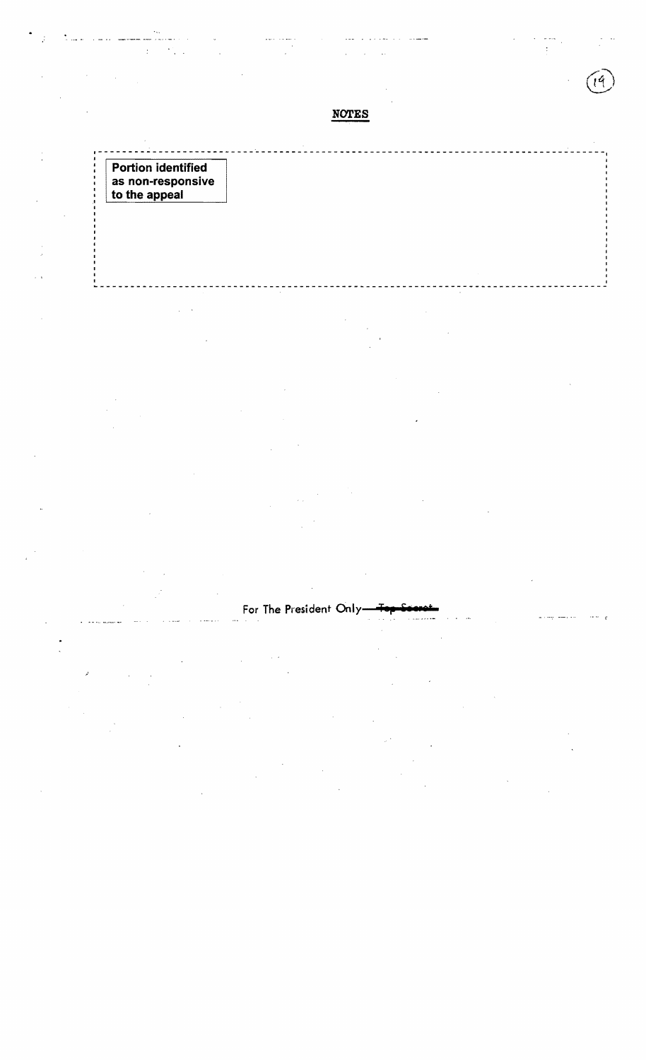--------~-----------------~--------------------------------------------------~------I <sup>I</sup> **Portion identified as non-responsive** 

**to the appeal** 

 $\overline{z}$ 

ti.

I

j.

**------------------------------------------------------------------------------------**

NOTES

I

 $\omega$  -  $\omega$  $\frac{1}{2}$ 

# For The President Only